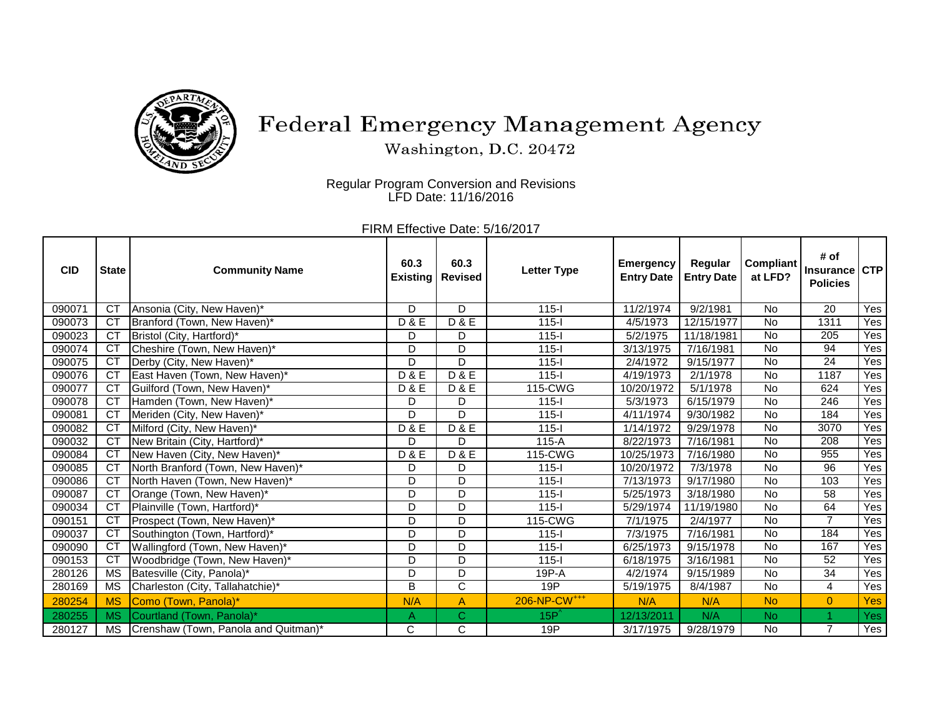

## Federal Emergency Management Agency

Washington, D.C. 20472

Regular Program Conversion and Revisions LFD Date: 11/16/2016

FIRM Effective Date: 5/16/2017

| <b>CID</b> | <b>State</b>    | <b>Community Name</b>                | 60.3<br><b>Existing</b> | 60.3<br><b>Revised</b> | <b>Letter Type</b>       | <b>Emergency</b><br><b>Entry Date</b> | Regular<br><b>Entry Date</b> | <b>Compliant</b><br>at LFD? | # of<br><b>Insurance</b><br><b>Policies</b> | <b>CTP</b>       |
|------------|-----------------|--------------------------------------|-------------------------|------------------------|--------------------------|---------------------------------------|------------------------------|-----------------------------|---------------------------------------------|------------------|
| 090071     | CT              | Ansonia (City, New Haven)*           | D                       | D                      | $115 -$                  | 11/2/1974                             | 9/2/1981                     | <b>No</b>                   | 20                                          | Yes              |
| 090073     | <b>CT</b>       | Branford (Town, New Haven)*          | <b>D&amp;E</b>          | D & E                  | $115 -$                  | 4/5/1973                              | 12/15/1977                   | No                          | 1311                                        | Yes              |
| 090023     | <b>CT</b>       | Bristol (City, Hartford)*            | D                       | D                      | $115 -$                  | 5/2/1975                              | 11/18/1981                   | <b>No</b>                   | 205                                         | Yes              |
| 090074     | CT              | Cheshire (Town, New Haven)*          | D                       | D                      | $115 -$                  | 3/13/1975                             | 7/16/1981                    | <b>No</b>                   | 94                                          | Yes              |
| 090075     | <b>CT</b>       | Derby (City, New Haven)*             | D                       | D                      | $115 -$                  | 2/4/1972                              | 9/15/1977                    | <b>No</b>                   | 24                                          | Yes              |
| 090076     | CT              | East Haven (Town, New Haven)*        | <b>D&amp;E</b>          | D & E                  | $115 -$                  | 4/19/1973                             | $\sqrt{2}/1/1978$            | <b>No</b>                   | 1187                                        | Yes              |
| 090077     | CT              | Guilford (Town, New Haven)*          | <b>D&amp;E</b>          | <b>D&amp;E</b>         | 115-CWG                  | 10/20/1972                            | 5/1/1978                     | <b>No</b>                   | 624                                         | Yes              |
| 090078     | CT              | Hamden (Town, New Haven)*            | D                       | D                      | $115 -$                  | 5/3/1973                              | 6/15/1979                    | <b>No</b>                   | 246                                         | Yes              |
| 090081     | <b>CT</b>       | Meriden (City, New Haven)*           | D                       | D                      | $115 -$                  | 4/11/1974                             | 9/30/1982                    | No                          | 184                                         | Yes              |
| 090082     | CT              | Milford (City, New Haven)*           | <b>D&amp;E</b>          | D & E                  | $115 -$                  | 1/14/1972                             | 9/29/1978                    | No                          | 3070                                        | Yes              |
| 090032     | $\overline{CT}$ | New Britain (City, Hartford)*        | D                       | D                      | $115-A$                  | 8/22/1973                             | 7/16/1981                    | No                          | 208                                         | Yes              |
| 090084     | CT              | New Haven (City, New Haven)*         | <b>D&amp;E</b>          | <b>D&amp;E</b>         | 115-CWG                  | 10/25/1973                            | 7/16/1980                    | <b>No</b>                   | 955                                         | Yes              |
| 090085     | <b>CT</b>       | North Branford (Town, New Haven)*    | D                       | D                      | $115 -$                  | 10/20/1972                            | $\frac{1}{7}/3/1978$         | No                          | 96                                          | Yes              |
| 090086     | CT              | North Haven (Town, New Haven)*       | D                       | D                      | $115 -$                  | 7/13/1973                             | 9/17/1980                    | <b>No</b>                   | 103                                         | Yes              |
| 090087     | CT              | Orange (Town, New Haven)*            | D                       | D                      | $115 -$                  | 5/25/1973                             | 3/18/1980                    | <b>No</b>                   | 58                                          | Yes              |
| 090034     | CT              | Plainville (Town, Hartford)*         | D                       | D                      | $115 -$                  | 5/29/1974                             | 11/19/1980                   | No                          | 64                                          | Yes              |
| 090151     | <b>CT</b>       | Prospect (Town, New Haven)*          | D                       | D                      | 115-CWG                  | 7/1/1975                              | 2/4/1977                     | No                          | $\overline{7}$                              | Yes              |
| 090037     | CT              | Southington (Town, Hartford)*        | D                       | D                      | $115 -$                  | 7/3/1975                              | 7/16/1981                    | <b>No</b>                   | 184                                         | Yes              |
| 090090     | <b>CT</b>       | Wallingford (Town, New Haven)*       | D                       | D                      | $115 -$                  | 6/25/1973                             | 9/15/1978                    | No                          | 167                                         | Yes              |
| 090153     | CT              | Woodbridge (Town, New Haven)*        | D                       | D                      | $115 -$                  | 6/18/1975                             | 3/16/1981                    | <b>No</b>                   | 52                                          | Yes              |
| 280126     | <b>MS</b>       | Batesville (City, Panola)*           | D                       | D                      | 19P-A                    | 4/2/1974                              | 9/15/1989                    | <b>No</b>                   | 34                                          | Yes              |
| 280169     | <b>MS</b>       | Charleston (City, Tallahatchie)*     | B                       | $\overline{\text{c}}$  | 19P                      | 5/19/1975                             | 8/4/1987                     | <b>No</b>                   | 4                                           | Yes              |
| 280254     | <b>MS</b>       | Como (Town, Panola)*                 | N/A                     | A                      | 206-NP-CW <sup>+++</sup> | N/A                                   | N/A                          | <b>No</b>                   | $\overline{0}$                              | Yes              |
| 280255     | <b>MS</b>       | Courtland (Town, Panola)*            | A                       | $\mathsf{C}$           | $15P^2$                  | 12/13/2011                            | N/A                          | N <sub>o</sub>              | 1                                           | Yes <sup>[</sup> |
| 280127     | <b>MS</b>       | Crenshaw (Town, Panola and Quitman)* | C                       | $\overline{\text{c}}$  | 19P                      | 3/17/1975                             | 9/28/1979                    | <b>No</b>                   | $\overline{7}$                              | Yes              |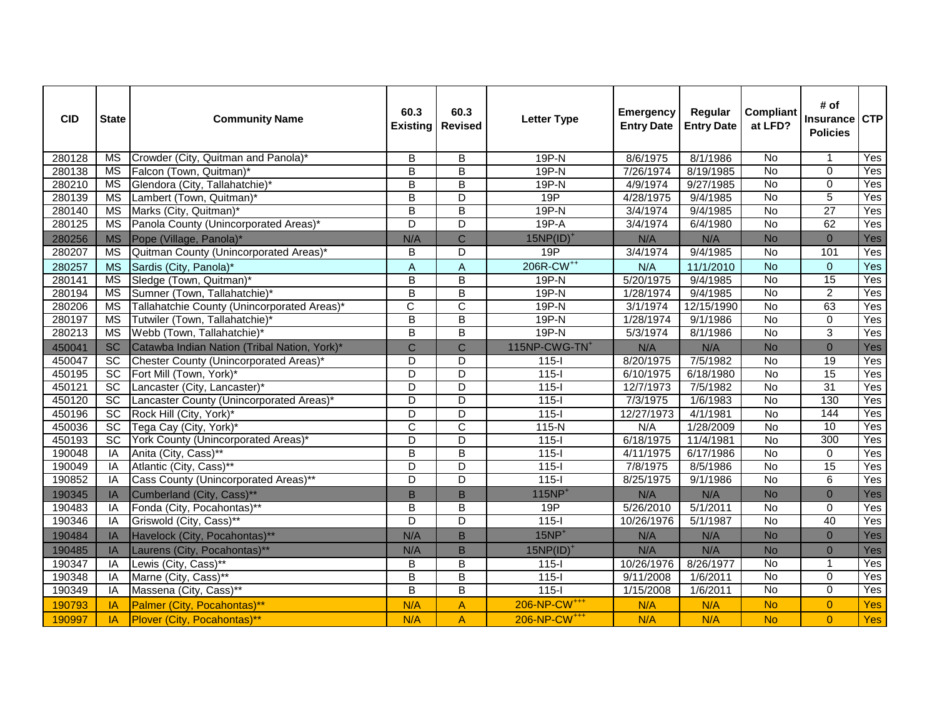| <b>CID</b> | <b>State</b>           | <b>Community Name</b>                        | 60.3<br><b>Existing</b> | 60.3<br><b>Revised</b>  | <b>Letter Type</b>        | <b>Emergency</b><br><b>Entry Date</b> | Regular<br><b>Entry Date</b> | <b>Compliant</b><br>at LFD? | # of<br><b>Insurance</b><br><b>Policies</b> | <b>CTP</b> |
|------------|------------------------|----------------------------------------------|-------------------------|-------------------------|---------------------------|---------------------------------------|------------------------------|-----------------------------|---------------------------------------------|------------|
| 280128     | MS                     | Crowder (City, Quitman and Panola)*          | B                       | B                       | 19P-N                     | 8/6/1975                              | 8/1/1986                     | <b>No</b>                   | $\mathbf 1$                                 | Yes        |
| 280138     | <b>MS</b>              | Falcon (Town, Quitman)*                      | $\overline{\mathsf{B}}$ | $\overline{\mathsf{B}}$ | 19P-N                     | 7/26/1974                             | 8/19/1985                    | <b>No</b>                   | $\Omega$                                    | Yes        |
| 280210     | <b>MS</b>              | Glendora (City, Tallahatchie)*               | $\overline{\mathsf{B}}$ | $\overline{\mathsf{B}}$ | $19P-N$                   | 4/9/1974                              | 9/27/1985                    | <b>No</b>                   | $\mathbf 0$                                 | Yes        |
| 280139     | <b>MS</b>              | Lambert (Town, Quitman)*                     | B                       | D                       | 19P                       | 4/28/1975                             | 9/4/1985                     | <b>No</b>                   | 5                                           | Yes        |
| 280140     | $\overline{\text{MS}}$ | Marks (City, Quitman)*                       | $\overline{B}$          | $\overline{\mathsf{B}}$ | $19P-N$                   | 3/4/1974                              | 9/4/1985                     | $\overline{N}$              | $\overline{27}$                             | Yes        |
| 280125     | <b>MS</b>              | Panola County (Unincorporated Areas)*        | D                       | D                       | $19P-A$                   | 3/4/1974                              | 6/4/1980                     | No                          | 62                                          | Yes        |
| 280256     | <b>MS</b>              | Pope (Village, Panola)*                      | N/A                     | $\overline{C}$          | $15NP(ID)^+$              | N/A                                   | N/A                          | <b>No</b>                   | $\mathbf{0}$                                | Yes        |
| 280207     | <b>MS</b>              | Quitman County (Unincorporated Areas)        | $\mathsf B$             | D                       | 19P                       | 3/4/1974                              | 9/4/1985                     | <b>No</b>                   | 101                                         | Yes        |
| 280257     | <b>MS</b>              | Sardis (City, Panola)*                       | $\overline{A}$          | A                       | 206R-CW <sup>++</sup>     | N/A                                   | 11/1/2010                    | <b>No</b>                   | $\Omega$                                    | Yes        |
| 280141     | <b>MS</b>              | Sledge (Town, Quitman)*                      | B                       | $\overline{\mathsf{B}}$ | 19P-N                     | 5/20/1975                             | 9/4/1985                     | <b>No</b>                   | 15                                          | Yes        |
| 280194     | <b>MS</b>              | Sumner (Town, Tallahatchie)*                 | $\overline{B}$          | $\overline{\mathsf{B}}$ | $19P-N$                   | 1/28/1974                             | 9/4/1985                     | <b>No</b>                   | $\overline{2}$                              | Yes        |
| 280206     | <b>MS</b>              | Tallahatchie County (Unincorporated Areas)*  | $\overline{\text{c}}$   | $\overline{\text{c}}$   | $19P-N$                   | 3/1/1974                              | 12/15/1990                   | <b>No</b>                   | 63                                          | Yes        |
| 280197     | <b>MS</b>              | Tutwiler (Town, Tallahatchie)*               | $\mathsf B$             | B                       | 19P-N                     | 1/28/1974                             | 9/1/1986                     | No                          | 0                                           | Yes        |
| 280213     | <b>MS</b>              | Webb (Town, Tallahatchie)*                   | $\overline{B}$          | $\overline{\mathsf{B}}$ | $19P-N$                   | 5/3/1974                              | 8/1/1986                     | <b>No</b>                   | 3                                           | Yes        |
| 450041     | <b>SC</b>              | Catawba Indian Nation (Tribal Nation, York)* | $\overline{C}$          | Ċ                       | 115NP-CWG-TN <sup>+</sup> | N/A                                   | N/A                          | <b>No</b>                   | $\mathbf{0}$                                | Yes        |
| 450047     | SC                     | Chester County (Unincorporated Areas)*       | D                       | D                       | $115 -$                   | 8/20/1975                             | 7/5/1982                     | No                          | 19                                          | Yes        |
| 450195     | SC                     | Fort Mill (Town, York)*                      | $\overline{D}$          | $\overline{\mathsf{D}}$ | $115 -$                   | 6/10/1975                             | 6/18/1980                    | $\overline{N}$              | 15                                          | Yes        |
| 450121     | SC                     | Lancaster (City, Lancaster)*                 | D                       | D                       | $115 -$                   | 12/7/1973                             | 7/5/1982                     | No                          | 31                                          | Yes        |
| 450120     | $\overline{SC}$        | Lancaster County (Unincorporated Areas)*     | $\overline{D}$          | $\overline{\mathsf{D}}$ | $115 -$                   | 7/3/1975                              | 1/6/1983                     | <b>No</b>                   | 130                                         | Yes        |
| 450196     | $\overline{SC}$        | Rock Hill (City, York)*                      | D                       | D                       | $115-I$                   | 12/27/1973                            | 4/1/1981                     | No                          | 144                                         | Yes        |
| 450036     | $\overline{SC}$        | Tega Cay (City, York)*                       | C                       | $\overline{\text{c}}$   | 115-N                     | N/A                                   | 1/28/2009                    | $\overline{N}$              | 10                                          | Yes        |
| 450193     | SC                     | York County (Unincorporated Areas)*          | $\overline{D}$          | $\overline{\mathsf{D}}$ | $115 -$                   | 6/18/1975                             | 11/4/1981                    | No                          | 300                                         | Yes        |
| 190048     | IA                     | Anita (City, Cass)**                         | $\overline{\mathsf{B}}$ | $\overline{\mathsf{B}}$ | $115 -$                   | 4/11/1975                             | 6/17/1986                    | <b>No</b>                   | $\mathbf{0}$                                | Yes        |
| 190049     | IA                     | Atlantic (City, Cass)**                      | D                       | D                       | $115 -$                   | 7/8/1975                              | 8/5/1986                     | $\overline{N}$              | 15                                          | Yes        |
| 190852     | IA                     | Cass County (Unincorporated Areas)**         | D                       | $\overline{\mathsf{D}}$ | $115 -$                   | 8/25/1975                             | 9/1/1986                     | <b>No</b>                   | 6                                           | Yes        |
| 190345     | IA                     | Cumberland (City, Cass)**                    | B                       | B                       | $115NP+$                  | N/A                                   | N/A                          | <b>No</b>                   | $\mathbf{0}$                                | Yes        |
| 190483     | IA                     | Fonda (City, Pocahontas)**                   | B                       | B                       | 19P                       | 5/26/2010                             | 5/1/2011                     | $\overline{N}$              | 0                                           | Yes        |
| 190346     | IA                     | Griswold (City, Cass)**                      | $\overline{D}$          | $\overline{\mathsf{D}}$ | $115 -$                   | 10/26/1976                            | 5/1/1987                     | $\overline{N}$              | 40                                          | Yes        |
| 190484     | IA                     | Havelock (City, Pocahontas)**                | N/A                     | B                       | $15NP+$                   | N/A                                   | N/A                          | <b>No</b>                   | $\Omega$                                    | Yes        |
| 190485     | IA                     | Laurens (City, Pocahontas)**                 | N/A                     | B                       | 15NP(ID)                  | N/A                                   | N/A                          | <b>No</b>                   | $\Omega$                                    | Yes        |
| 190347     | IA                     | Lewis (City, Cass)**                         | B                       | B                       | $115-I$                   | 10/26/1976                            | 8/26/1977                    | <b>No</b>                   | -1                                          | Yes        |
| 190348     | IA                     | Marne (City, Cass)**                         | $\overline{\mathsf{B}}$ | $\overline{\mathsf{B}}$ | $115 -$                   | 9/11/2008                             | 1/6/2011                     | No                          | $\mathbf 0$                                 | Yes        |
| 190349     | IA                     | Massena (City, Cass)**                       | $\overline{\mathsf{B}}$ | $\overline{\mathsf{B}}$ | $115 -$                   | 1/15/2008                             | 1/6/2011                     | No                          | $\overline{0}$                              | Yes        |
| 190793     | IA                     | Palmer (City, Pocahontas)**                  | N/A                     | A                       | 206-NP-CW <sup>+++</sup>  | N/A                                   | N/A                          | <b>No</b>                   | $\mathbf 0$                                 | Yes        |
| 190997     | IA                     | Plover (City, Pocahontas)**                  | N/A                     | A                       | 206-NP-CW <sup>+++</sup>  | N/A                                   | N/A                          | <b>No</b>                   | $\Omega$                                    | Yes        |